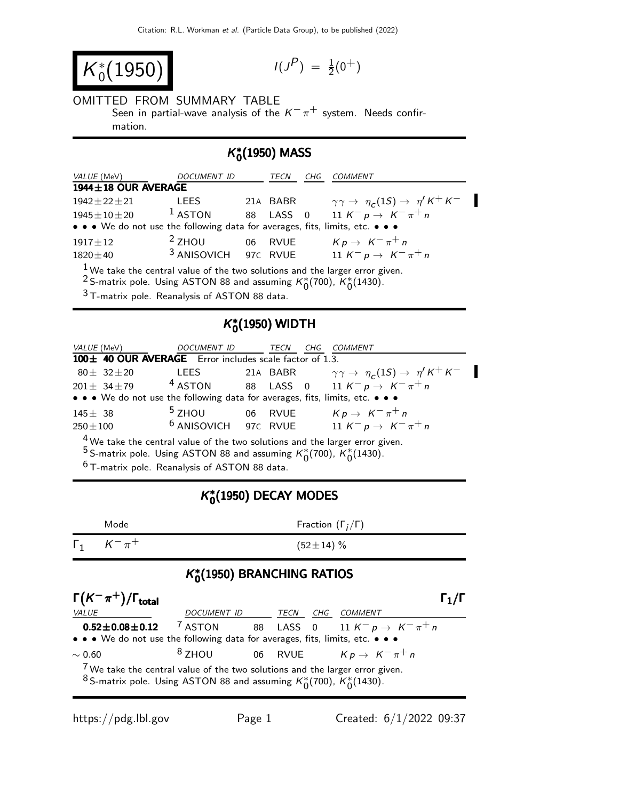$$
K_0^*(1950) \qquad \qquad \text{if } \qquad
$$

$$
I(J^P) \; = \; {\textstyle \frac{1}{2}} (0^+)
$$

# OMITTED FROM SUMMARY TABLE

Seen in partial-wave analysis of the  $K^-\pi^+$  system. Needs confirmation.

## K ∗  $_{0}^{*}(1950)$  MASS

| <i>VALUE</i> (MeV)                                                                     | DOCUMENT ID |    | TECN     | CHG | <b>COMMENT</b>                                                     |  |
|----------------------------------------------------------------------------------------|-------------|----|----------|-----|--------------------------------------------------------------------|--|
| 1944±18 OUR AVERAGE                                                                    |             |    |          |     |                                                                    |  |
| $1942 \pm 22 \pm 21$                                                                   | <b>LEES</b> |    | 21A BABR |     | $\gamma \gamma \rightarrow \eta_c(1S) \rightarrow \eta' K^+ K^-$   |  |
| $1945 \pm 10 \pm 20$                                                                   | $1$ ASTON   | 88 |          |     | LASS 0 11 $K^- p \to K^- \pi^+ n$                                  |  |
| • • • We do not use the following data for averages, fits, limits, etc. • • •          |             |    |          |     |                                                                    |  |
| $1917\pm12$                                                                            | $2$ ZHOU    |    | 06 RVUE  |     | $Kp \rightarrow K^{-} \pi^{+} n$                                   |  |
| $1820 \pm 40$                                                                          |             |    |          |     | <sup>3</sup> ANISOVICH 97C RVUE $11 K^- p \rightarrow K^- \pi^+ n$ |  |
| $1$ We take the central value of the two solutions and the larger error given.         |             |    |          |     |                                                                    |  |
| <sup>2</sup> S-matrix pole. Using ASTON 88 and assuming $K_0^*(700)$ , $K_0^*(1430)$ . |             |    |          |     |                                                                    |  |
|                                                                                        |             |    |          |     |                                                                    |  |

3 T-matrix pole. Reanalysis of ASTON 88 data.

## K ∗  $_{0}^{*}$ (1950) WIDTH

| <i>VALUE</i> (MeV)                                                                     | DOCUMENT ID TECN |  |  | CHG | <i>COMMENT</i>                                                                                                                                                                |  |
|----------------------------------------------------------------------------------------|------------------|--|--|-----|-------------------------------------------------------------------------------------------------------------------------------------------------------------------------------|--|
| 100± 40 OUR AVERAGE Error includes scale factor of 1.3.                                |                  |  |  |     |                                                                                                                                                                               |  |
|                                                                                        |                  |  |  |     | $80 \pm 32 \pm 20$ LEES 21A BABR $\gamma \gamma \rightarrow \eta_c(1S) \rightarrow \eta' K^+ K^-$<br>$201 \pm 34 \pm 79$ 4 ASTON 88 LASS 0 11 $K^- p \rightarrow K^- \pi^+ n$ |  |
|                                                                                        |                  |  |  |     |                                                                                                                                                                               |  |
| • • • We do not use the following data for averages, fits, limits, etc. • • •          |                  |  |  |     |                                                                                                                                                                               |  |
| $145 \pm 38$                                                                           |                  |  |  |     | <sup>5</sup> ZHOU 06 RVUE $Kp \rightarrow K^-\pi^+n$                                                                                                                          |  |
| $250 \pm 100$                                                                          |                  |  |  |     | <sup>6</sup> ANISOVICH 97C RVUE $11 K^- p \rightarrow K^- \pi^+ n$                                                                                                            |  |
| $4$ We take the central value of the two solutions and the larger error given.         |                  |  |  |     |                                                                                                                                                                               |  |
| <sup>5</sup> S-matrix pole. Using ASTON 88 and assuming $K_0^*(700)$ , $K_0^*(1430)$ . |                  |  |  |     |                                                                                                                                                                               |  |
|                                                                                        |                  |  |  |     |                                                                                                                                                                               |  |

 $6$  T-matrix pole. Reanalysis of ASTON 88 data.

## K ∗  $_{0}^{\ast}(1950)$  DECAY MODES

| $\Gamma_1$ $K^- \pi^+$<br>$(52 \pm 14)$ % |  |
|-------------------------------------------|--|

## K ∗  $_{0}^{\ast}(1950)$  BRANCHING RATIOS

| $\Gamma(K^-\pi^+) / \Gamma_{\text{total}}$                                                                                                                               |                  |  |  |     | Г1 /Г                                 |  |
|--------------------------------------------------------------------------------------------------------------------------------------------------------------------------|------------------|--|--|-----|---------------------------------------|--|
| <b>VALUE</b>                                                                                                                                                             | DOCUMENT ID TECN |  |  | CHG | <i>COMMENT</i>                        |  |
| $0.52 \pm 0.08 \pm 0.12$ $7$ aston                                                                                                                                       |                  |  |  |     | 88 LASS 0 11 $K^- p \to K^- \pi^+ n$  |  |
| • • • We do not use the following data for averages, fits, limits, etc. • • •                                                                                            |                  |  |  |     |                                       |  |
| $\sim 0.60$                                                                                                                                                              | $8$ ZHOU         |  |  |     | 06 RVUE $K p \rightarrow K^- \pi^+ n$ |  |
| $7$ We take the central value of the two solutions and the larger error given.<br><sup>8</sup> S-matrix pole. Using ASTON 88 and assuming $K_0^*(700)$ , $K_0^*(1430)$ . |                  |  |  |     |                                       |  |